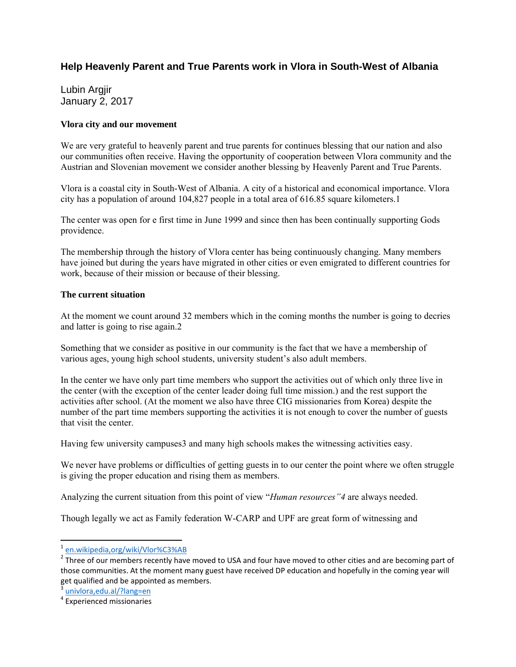## **Help Heavenly Parent and True Parents work in Vlora in South-West of Albania**

Lubin Argjir January 2, 2017

## **Vlora city and our movement**

We are very grateful to heavenly parent and true parents for continues blessing that our nation and also our communities often receive. Having the opportunity of cooperation between Vlora community and the Austrian and Slovenian movement we consider another blessing by Heavenly Parent and True Parents.

Vlora is a coastal city in South-West of Albania. A city of a historical and economical importance. Vlora city has a population of around 104,827 people in a total area of 616.85 square kilometers.1

The center was open for e first time in June 1999 and since then has been continually supporting Gods providence.

The membership through the history of Vlora center has being continuously changing. Many members have joined but during the years have migrated in other cities or even emigrated to different countries for work, because of their mission or because of their blessing.

## **The current situation**

At the moment we count around 32 members which in the coming months the number is going to decries and latter is going to rise again.2

Something that we consider as positive in our community is the fact that we have a membership of various ages, young high school students, university student's also adult members.

In the center we have only part time members who support the activities out of which only three live in the center (with the exception of the center leader doing full time mission.) and the rest support the activities after school. (At the moment we also have three CIG missionaries from Korea) despite the number of the part time members supporting the activities it is not enough to cover the number of guests that visit the center.

Having few university campuses3 and many high schools makes the witnessing activities easy.

We never have problems or difficulties of getting guests in to our center the point where we often struggle is giving the proper education and rising them as members.

Analyzing the current situation from this point of view "*Human resources"4* are always needed.

Though legally we act as Family federation W-CARP and UPF are great form of witnessing and

l

<sup>&</sup>lt;sup>1</sup> en.wikipedia,org/wiki/Vlor%C3%AB

 $2$  Three of our members recently have moved to USA and four have moved to other cities and are becoming part of those communities. At the moment many guest have received DP education and hopefully in the coming year will get qualified and be appointed as members.

<sup>3</sup> univlora,edu.al/?lang=en

<sup>4</sup> Experienced missionaries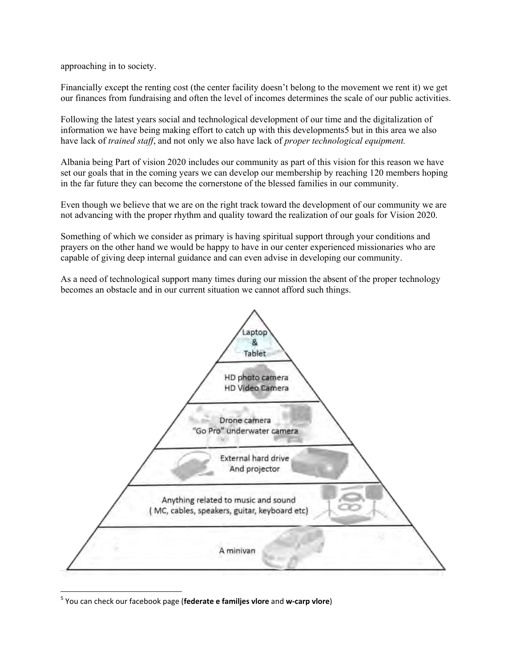approaching in to society.

Financially except the renting cost (the center facility doesn't belong to the movement we rent it) we get our finances from fundraising and often the level of incomes determines the scale of our public activities.

Following the latest years social and technological development of our time and the digitalization of information we have being making effort to catch up with this developments5 but in this area we also have lack of *trained staff*, and not only we also have lack of *proper technological equipment.*

Albania being Part of vision 2020 includes our community as part of this vision for this reason we have set our goals that in the coming years we can develop our membership by reaching 120 members hoping in the far future they can become the cornerstone of the blessed families in our community.

Even though we believe that we are on the right track toward the development of our community we are not advancing with the proper rhythm and quality toward the realization of our goals for Vision 2020.

Something of which we consider as primary is having spiritual support through your conditions and prayers on the other hand we would be happy to have in our center experienced missionaries who are capable of giving deep internal guidance and can even advise in developing our community.

As a need of technological support many times during our mission the absent of the proper technology becomes an obstacle and in our current situation we cannot afford such things.



<sup>5</sup> You can check our facebook page (**federate e familjes vlore** and **w-carp vlore**)